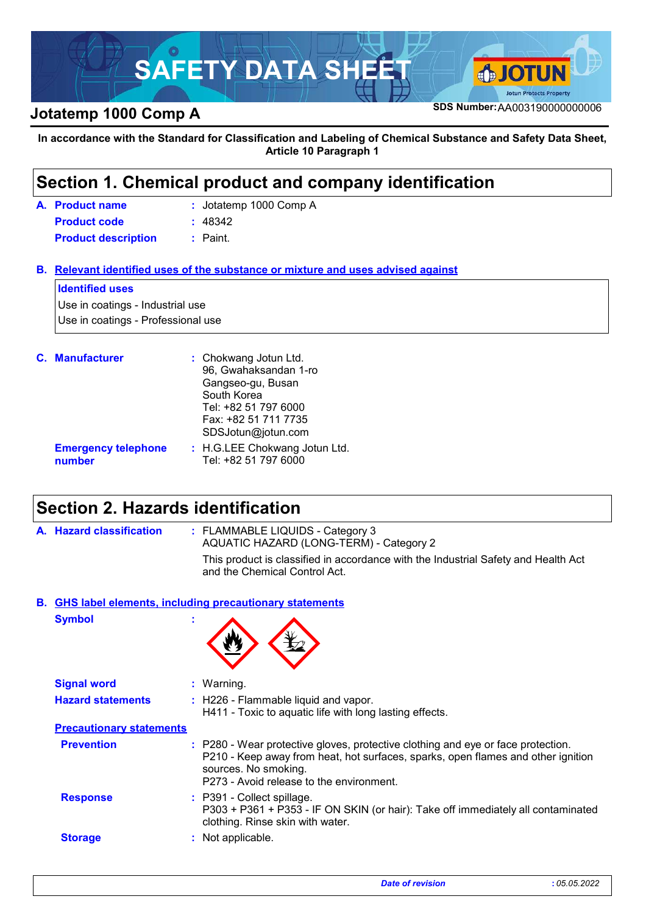

**In accordance with the Standard for Classification and Labeling of Chemical Substance and Safety Data Sheet, Article 10 Paragraph 1**

### **Section 1. Chemical product and company identification**

| A. Product name            | : Jotatemp 1000 Comp A |
|----------------------------|------------------------|
| <b>Product code</b>        | : 48342                |
| <b>Product description</b> | : Paint.               |

**Relevant identified uses of the substance or mixture and uses advised against B.**

#### **Identified uses**

Use in coatings - Industrial use Use in coatings - Professional use

| <b>C.</b> Manufacturer               | : Chokwang Jotun Ltd.<br>96, Gwahaksandan 1-ro<br>Gangseo-gu, Busan<br>South Korea<br>Tel: +82 51 797 6000<br>Fax: +82 51 711 7735 |
|--------------------------------------|------------------------------------------------------------------------------------------------------------------------------------|
|                                      | SDSJotun@jotun.com                                                                                                                 |
| <b>Emergency telephone</b><br>number | : H.G.LEE Chokwang Jotun Ltd.<br>Tel: +82 51 797 6000                                                                              |

### **Section 2. Hazards identification**

: FLAMMABLE LIQUIDS - Category 3 AQUATIC HAZARD (LONG-TERM) - Category 2 **Hazard classification : A.** This product is classified in accordance with the Industrial Safety and Health Act and the Chemical Control Act.

**Symbol : GHS label elements, including precautionary statements B.**



| <b>Signal word</b>              | $:$ Warning.                                                                                                                                                                                                                             |
|---------------------------------|------------------------------------------------------------------------------------------------------------------------------------------------------------------------------------------------------------------------------------------|
| <b>Hazard statements</b>        | : H226 - Flammable liquid and vapor.<br>H411 - Toxic to aquatic life with long lasting effects.                                                                                                                                          |
| <b>Precautionary statements</b> |                                                                                                                                                                                                                                          |
| <b>Prevention</b>               | : P280 - Wear protective gloves, protective clothing and eye or face protection.<br>P210 - Keep away from heat, hot surfaces, sparks, open flames and other ignition<br>sources. No smoking.<br>P273 - Avoid release to the environment. |
| <b>Response</b>                 | : P391 - Collect spillage.<br>P303 + P361 + P353 - IF ON SKIN (or hair): Take off immediately all contaminated<br>clothing. Rinse skin with water.                                                                                       |
| <b>Storage</b>                  | : Not applicable.                                                                                                                                                                                                                        |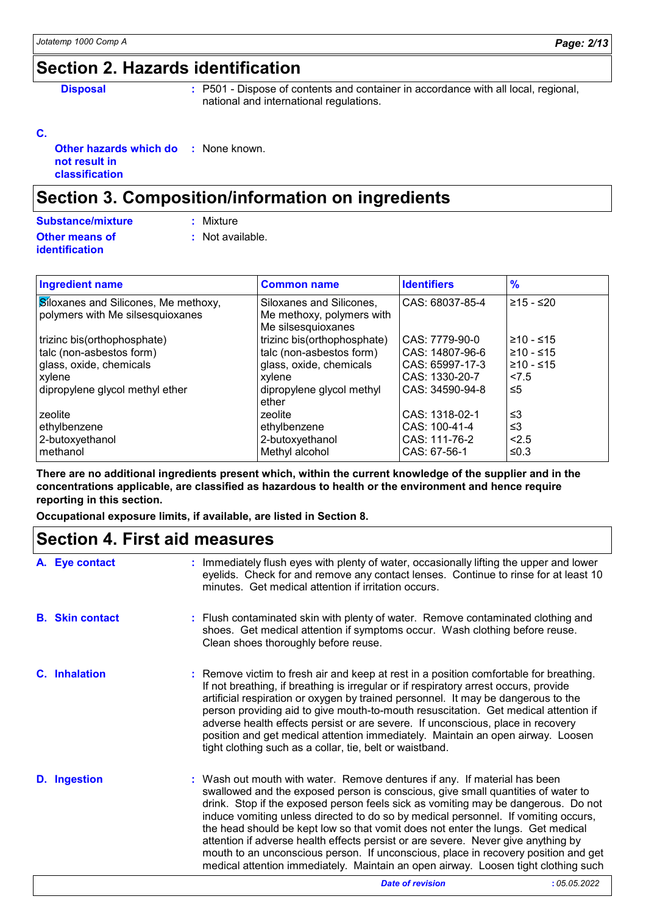### **Section 2. Hazards identification**

**Disposal :** P501 - Dispose of contents and container in accordance with all local, regional, national and international regulations.

#### **C.**

**Other hazards which do not result in classification :** None known.

### **Section 3. Composition/information on ingredients**

| <b>Substance/mixture</b> | : Mixture        |
|--------------------------|------------------|
| Other means of           | : Not available. |
| identification           |                  |

| <b>Ingredient name</b>                      | <b>Common name</b>          | <b>Identifiers</b> | $\frac{9}{6}$  |
|---------------------------------------------|-----------------------------|--------------------|----------------|
| <b>Siloxanes and Silicones, Me methoxy,</b> | Siloxanes and Silicones,    | CAS: 68037-85-4    | 215 - ≤20      |
| polymers with Me silsesquioxanes            | Me methoxy, polymers with   |                    |                |
|                                             | Me silsesquioxanes          |                    |                |
| trizinc bis(orthophosphate)                 | trizinc bis(orthophosphate) | CAS: 7779-90-0     | 1≥10 - ≤15     |
| talc (non-asbestos form)                    | talc (non-asbestos form)    | CAS: 14807-96-6    | $\geq 10 - 15$ |
| glass, oxide, chemicals                     | glass, oxide, chemicals     | CAS: 65997-17-3    | $\geq 10 - 15$ |
| xylene                                      | xylene                      | CAS: 1330-20-7     | < 7.5          |
| dipropylene glycol methyl ether             | dipropylene glycol methyl   | CAS: 34590-94-8    | 5≤             |
|                                             | ether                       |                    |                |
| zeolite                                     | zeolite                     | CAS: 1318-02-1     | ՝≤3            |
| ethylbenzene                                | ethylbenzene                | CAS: 100-41-4      | ≤3             |
| 2-butoxyethanol                             | 2-butoxyethanol             | CAS: 111-76-2      | < 2.5          |
| methanol                                    | Methyl alcohol              | CAS: 67-56-1       | ≤0.3           |

**There are no additional ingredients present which, within the current knowledge of the supplier and in the concentrations applicable, are classified as hazardous to health or the environment and hence require reporting in this section.**

**Occupational exposure limits, if available, are listed in Section 8.**

### **Section 4. First aid measures**

| A. Eye contact         | : Immediately flush eyes with plenty of water, occasionally lifting the upper and lower<br>eyelids. Check for and remove any contact lenses. Continue to rinse for at least 10<br>minutes. Get medical attention if irritation occurs.                                                                                                                                                                                                                                                                                                                                                                                                                                                       |
|------------------------|----------------------------------------------------------------------------------------------------------------------------------------------------------------------------------------------------------------------------------------------------------------------------------------------------------------------------------------------------------------------------------------------------------------------------------------------------------------------------------------------------------------------------------------------------------------------------------------------------------------------------------------------------------------------------------------------|
| <b>B.</b> Skin contact | : Flush contaminated skin with plenty of water. Remove contaminated clothing and<br>shoes. Get medical attention if symptoms occur. Wash clothing before reuse.<br>Clean shoes thoroughly before reuse.                                                                                                                                                                                                                                                                                                                                                                                                                                                                                      |
| <b>C.</b> Inhalation   | : Remove victim to fresh air and keep at rest in a position comfortable for breathing.<br>If not breathing, if breathing is irregular or if respiratory arrest occurs, provide<br>artificial respiration or oxygen by trained personnel. It may be dangerous to the<br>person providing aid to give mouth-to-mouth resuscitation. Get medical attention if<br>adverse health effects persist or are severe. If unconscious, place in recovery<br>position and get medical attention immediately. Maintain an open airway. Loosen<br>tight clothing such as a collar, tie, belt or waistband.                                                                                                 |
| <b>D.</b> Ingestion    | : Wash out mouth with water. Remove dentures if any. If material has been<br>swallowed and the exposed person is conscious, give small quantities of water to<br>drink. Stop if the exposed person feels sick as vomiting may be dangerous. Do not<br>induce vomiting unless directed to do so by medical personnel. If vomiting occurs,<br>the head should be kept low so that vomit does not enter the lungs. Get medical<br>attention if adverse health effects persist or are severe. Never give anything by<br>mouth to an unconscious person. If unconscious, place in recovery position and get<br>medical attention immediately. Maintain an open airway. Loosen tight clothing such |
|                        | :05.05.2022<br><b>Date of revision</b>                                                                                                                                                                                                                                                                                                                                                                                                                                                                                                                                                                                                                                                       |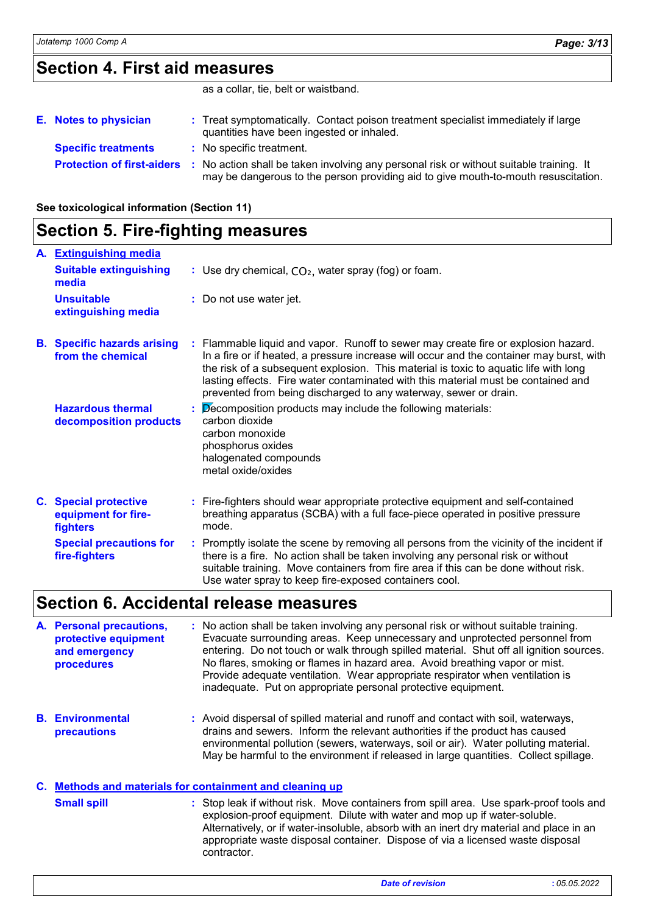### **Section 4. First aid measures**

as a collar, tie, belt or waistband.

| E. Notes to physician             | : Treat symptomatically. Contact poison treatment specialist immediately if large<br>quantities have been ingested or inhaled.                                              |
|-----------------------------------|-----------------------------------------------------------------------------------------------------------------------------------------------------------------------------|
| <b>Specific treatments</b>        | : No specific treatment.                                                                                                                                                    |
| <b>Protection of first-aiders</b> | No action shall be taken involving any personal risk or without suitable training. It<br>may be dangerous to the person providing aid to give mouth-to-mouth resuscitation. |

**See toxicological information (Section 11)**

### **Section 5. Fire-fighting measures**

| A. Extinguishing media                                          |                                                                                                                                                                                                                                                                                                                                                                                                                                 |
|-----------------------------------------------------------------|---------------------------------------------------------------------------------------------------------------------------------------------------------------------------------------------------------------------------------------------------------------------------------------------------------------------------------------------------------------------------------------------------------------------------------|
| <b>Suitable extinguishing</b><br>media                          | : Use dry chemical, $CO2$ , water spray (fog) or foam.                                                                                                                                                                                                                                                                                                                                                                          |
| <b>Unsuitable</b><br>extinguishing media                        | : Do not use water jet.                                                                                                                                                                                                                                                                                                                                                                                                         |
| <b>B.</b> Specific hazards arising<br>from the chemical         | : Flammable liquid and vapor. Runoff to sewer may create fire or explosion hazard.<br>In a fire or if heated, a pressure increase will occur and the container may burst, with<br>the risk of a subsequent explosion. This material is toxic to aquatic life with long<br>lasting effects. Fire water contaminated with this material must be contained and<br>prevented from being discharged to any waterway, sewer or drain. |
| <b>Hazardous thermal</b><br>decomposition products              | $\beta$ ecomposition products may include the following materials:<br>carbon dioxide<br>carbon monoxide<br>phosphorus oxides<br>halogenated compounds<br>metal oxide/oxides                                                                                                                                                                                                                                                     |
| <b>C.</b> Special protective<br>equipment for fire-<br>fighters | : Fire-fighters should wear appropriate protective equipment and self-contained<br>breathing apparatus (SCBA) with a full face-piece operated in positive pressure<br>mode.                                                                                                                                                                                                                                                     |
| <b>Special precautions for</b><br>fire-fighters                 | : Promptly isolate the scene by removing all persons from the vicinity of the incident if<br>there is a fire. No action shall be taken involving any personal risk or without<br>suitable training. Move containers from fire area if this can be done without risk.<br>Use water spray to keep fire-exposed containers cool.                                                                                                   |

### **Section 6. Accidental release measures**

**Personal precautions, A. protective equipment and emergency procedures :** No action shall be taken involving any personal risk or without suitable training. Evacuate surrounding areas. Keep unnecessary and unprotected personnel from entering. Do not touch or walk through spilled material. Shut off all ignition sources. No flares, smoking or flames in hazard area. Avoid breathing vapor or mist. Provide adequate ventilation. Wear appropriate respirator when ventilation is inadequate. Put on appropriate personal protective equipment.

**Environmental B. precautions :** Avoid dispersal of spilled material and runoff and contact with soil, waterways, drains and sewers. Inform the relevant authorities if the product has caused environmental pollution (sewers, waterways, soil or air). Water polluting material. May be harmful to the environment if released in large quantities. Collect spillage.

### **Methods and materials for containment and cleaning up C.**

Stop leak if without risk. Move containers from spill area. Use spark-proof tools and explosion-proof equipment. Dilute with water and mop up if water-soluble. Alternatively, or if water-insoluble, absorb with an inert dry material and place in an appropriate waste disposal container. Dispose of via a licensed waste disposal contractor. **Small spill :**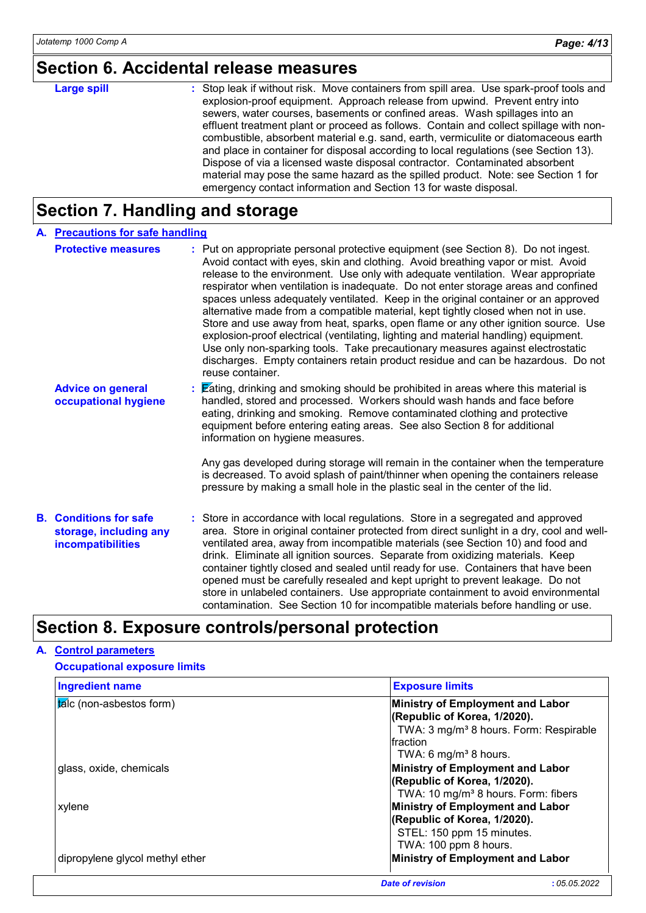### **Section 6. Accidental release measures**

| <b>Large spill</b> | : Stop leak if without risk. Move containers from spill area. Use spark-proof tools and<br>explosion-proof equipment. Approach release from upwind. Prevent entry into<br>sewers, water courses, basements or confined areas. Wash spillages into an<br>effluent treatment plant or proceed as follows. Contain and collect spillage with non-<br>combustible, absorbent material e.g. sand, earth, vermiculite or diatomaceous earth<br>and place in container for disposal according to local regulations (see Section 13).<br>Dispose of via a licensed waste disposal contractor. Contaminated absorbent |
|--------------------|--------------------------------------------------------------------------------------------------------------------------------------------------------------------------------------------------------------------------------------------------------------------------------------------------------------------------------------------------------------------------------------------------------------------------------------------------------------------------------------------------------------------------------------------------------------------------------------------------------------|
|                    | material may pose the same hazard as the spilled product. Note: see Section 1 for                                                                                                                                                                                                                                                                                                                                                                                                                                                                                                                            |
|                    | emergency contact information and Section 13 for waste disposal.                                                                                                                                                                                                                                                                                                                                                                                                                                                                                                                                             |

# **Section 7. Handling and storage**

| A. Precautions for safe handling                                             |                                                                                                                                                                                                                                                                                                                                                                                                                                                                                                                                                                                                                                                                                                                                                                                                                                                                                                    |  |
|------------------------------------------------------------------------------|----------------------------------------------------------------------------------------------------------------------------------------------------------------------------------------------------------------------------------------------------------------------------------------------------------------------------------------------------------------------------------------------------------------------------------------------------------------------------------------------------------------------------------------------------------------------------------------------------------------------------------------------------------------------------------------------------------------------------------------------------------------------------------------------------------------------------------------------------------------------------------------------------|--|
| <b>Protective measures</b>                                                   | : Put on appropriate personal protective equipment (see Section 8). Do not ingest.<br>Avoid contact with eyes, skin and clothing. Avoid breathing vapor or mist. Avoid<br>release to the environment. Use only with adequate ventilation. Wear appropriate<br>respirator when ventilation is inadequate. Do not enter storage areas and confined<br>spaces unless adequately ventilated. Keep in the original container or an approved<br>alternative made from a compatible material, kept tightly closed when not in use.<br>Store and use away from heat, sparks, open flame or any other ignition source. Use<br>explosion-proof electrical (ventilating, lighting and material handling) equipment.<br>Use only non-sparking tools. Take precautionary measures against electrostatic<br>discharges. Empty containers retain product residue and can be hazardous. Do not<br>reuse container. |  |
| <b>Advice on general</b><br>occupational hygiene                             | : Eating, drinking and smoking should be prohibited in areas where this material is<br>handled, stored and processed. Workers should wash hands and face before<br>eating, drinking and smoking. Remove contaminated clothing and protective<br>equipment before entering eating areas. See also Section 8 for additional<br>information on hygiene measures.                                                                                                                                                                                                                                                                                                                                                                                                                                                                                                                                      |  |
|                                                                              | Any gas developed during storage will remain in the container when the temperature<br>is decreased. To avoid splash of paint/thinner when opening the containers release<br>pressure by making a small hole in the plastic seal in the center of the lid.                                                                                                                                                                                                                                                                                                                                                                                                                                                                                                                                                                                                                                          |  |
| <b>B.</b> Conditions for safe<br>storage, including any<br>incompatibilities | : Store in accordance with local regulations. Store in a segregated and approved<br>area. Store in original container protected from direct sunlight in a dry, cool and well-<br>ventilated area, away from incompatible materials (see Section 10) and food and<br>drink. Eliminate all ignition sources. Separate from oxidizing materials. Keep<br>container tightly closed and sealed until ready for use. Containers that have been<br>opened must be carefully resealed and kept upright to prevent leakage. Do not<br>store in unlabeled containers. Use appropriate containment to avoid environmental<br>contamination. See Section 10 for incompatible materials before handling or use.                                                                                                                                                                                                 |  |

### **Section 8. Exposure controls/personal protection**

#### **A. Control parameters**

### **Occupational exposure limits**

| <b>Ingredient name</b>          | <b>Exposure limits</b>                                           |
|---------------------------------|------------------------------------------------------------------|
| talc (non-asbestos form)        | Ministry of Employment and Labor<br>(Republic of Korea, 1/2020). |
|                                 | TWA: 3 mg/m <sup>3</sup> 8 hours. Form: Respirable               |
|                                 | fraction                                                         |
|                                 | TWA: 6 mg/m <sup>3</sup> 8 hours.                                |
| glass, oxide, chemicals         | Ministry of Employment and Labor                                 |
|                                 | (Republic of Korea, 1/2020).                                     |
|                                 | TWA: 10 mg/m <sup>3</sup> 8 hours. Form: fibers                  |
| xylene                          | Ministry of Employment and Labor                                 |
|                                 | (Republic of Korea, 1/2020).                                     |
|                                 | STEL: 150 ppm 15 minutes.                                        |
|                                 | TWA: 100 ppm 8 hours.                                            |
| dipropylene glycol methyl ether | Ministry of Employment and Labor                                 |
|                                 | <b>Date of revision</b><br>:05.05.2022                           |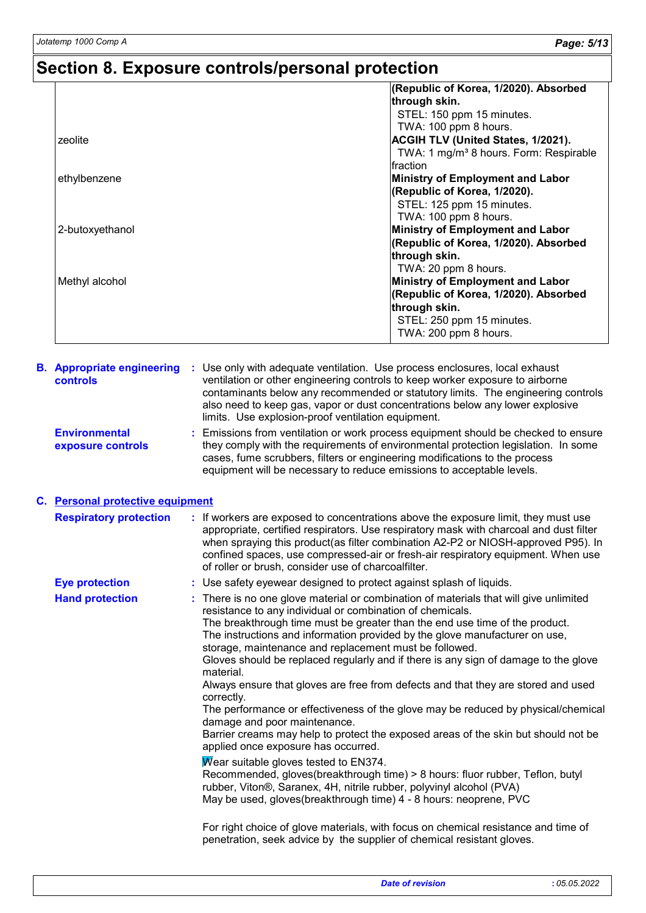# **Section 8. Exposure controls/personal protection**

|                 | (Republic of Korea, 1/2020). Absorbed              |
|-----------------|----------------------------------------------------|
|                 | through skin.                                      |
|                 | STEL: 150 ppm 15 minutes.                          |
|                 | TWA: 100 ppm 8 hours.                              |
| zeolite         | <b>ACGIH TLV (United States, 1/2021).</b>          |
|                 | TWA: 1 mg/m <sup>3</sup> 8 hours. Form: Respirable |
|                 | Ifraction                                          |
| ethylbenzene    | <b>Ministry of Employment and Labor</b>            |
|                 | (Republic of Korea, 1/2020).                       |
|                 | STEL: 125 ppm 15 minutes.                          |
|                 | TWA: 100 ppm 8 hours.                              |
| 2-butoxyethanol | <b>Ministry of Employment and Labor</b>            |
|                 | (Republic of Korea, 1/2020). Absorbed              |
|                 | through skin.                                      |
|                 | TWA: 20 ppm 8 hours.                               |
| Methyl alcohol  | <b>Ministry of Employment and Labor</b>            |
|                 | (Republic of Korea, 1/2020). Absorbed              |
|                 | through skin.                                      |
|                 | STEL: 250 ppm 15 minutes.                          |
|                 | TWA: 200 ppm 8 hours.                              |
|                 |                                                    |

| <b>B.</b> Appropriate engineering<br><b>controls</b> | : Use only with adequate ventilation. Use process enclosures, local exhaust<br>ventilation or other engineering controls to keep worker exposure to airborne<br>contaminants below any recommended or statutory limits. The engineering controls<br>also need to keep gas, vapor or dust concentrations below any lower explosive<br>limits. Use explosion-proof ventilation equipment.                                                                                                                                                                                                                                                                                                                                                                                                                                                                                                                                                                                                                                                                                                                                                                                                           |
|------------------------------------------------------|---------------------------------------------------------------------------------------------------------------------------------------------------------------------------------------------------------------------------------------------------------------------------------------------------------------------------------------------------------------------------------------------------------------------------------------------------------------------------------------------------------------------------------------------------------------------------------------------------------------------------------------------------------------------------------------------------------------------------------------------------------------------------------------------------------------------------------------------------------------------------------------------------------------------------------------------------------------------------------------------------------------------------------------------------------------------------------------------------------------------------------------------------------------------------------------------------|
| <b>Environmental</b><br>exposure controls            | : Emissions from ventilation or work process equipment should be checked to ensure<br>they comply with the requirements of environmental protection legislation. In some<br>cases, fume scrubbers, filters or engineering modifications to the process<br>equipment will be necessary to reduce emissions to acceptable levels.                                                                                                                                                                                                                                                                                                                                                                                                                                                                                                                                                                                                                                                                                                                                                                                                                                                                   |
| C. Personal protective equipment                     |                                                                                                                                                                                                                                                                                                                                                                                                                                                                                                                                                                                                                                                                                                                                                                                                                                                                                                                                                                                                                                                                                                                                                                                                   |
| <b>Respiratory protection</b>                        | : If workers are exposed to concentrations above the exposure limit, they must use<br>appropriate, certified respirators. Use respiratory mask with charcoal and dust filter<br>when spraying this product(as filter combination A2-P2 or NIOSH-approved P95). In<br>confined spaces, use compressed-air or fresh-air respiratory equipment. When use<br>of roller or brush, consider use of charcoalfilter.                                                                                                                                                                                                                                                                                                                                                                                                                                                                                                                                                                                                                                                                                                                                                                                      |
| <b>Eye protection</b>                                | : Use safety eyewear designed to protect against splash of liquids.                                                                                                                                                                                                                                                                                                                                                                                                                                                                                                                                                                                                                                                                                                                                                                                                                                                                                                                                                                                                                                                                                                                               |
| <b>Hand protection</b>                               | There is no one glove material or combination of materials that will give unlimited<br>resistance to any individual or combination of chemicals.<br>The breakthrough time must be greater than the end use time of the product.<br>The instructions and information provided by the glove manufacturer on use,<br>storage, maintenance and replacement must be followed.<br>Gloves should be replaced regularly and if there is any sign of damage to the glove<br>material.<br>Always ensure that gloves are free from defects and that they are stored and used<br>correctly.<br>The performance or effectiveness of the glove may be reduced by physical/chemical<br>damage and poor maintenance.<br>Barrier creams may help to protect the exposed areas of the skin but should not be<br>applied once exposure has occurred.<br>Wear suitable gloves tested to $EN374$ .<br>Recommended, gloves(breakthrough time) > 8 hours: fluor rubber, Teflon, butyl<br>rubber, Viton®, Saranex, 4H, nitrile rubber, polyvinyl alcohol (PVA)<br>May be used, gloves(breakthrough time) 4 - 8 hours: neoprene, PVC<br>For right choice of glove materials, with focus on chemical resistance and time of |
|                                                      | penetration, seek advice by the supplier of chemical resistant gloves.                                                                                                                                                                                                                                                                                                                                                                                                                                                                                                                                                                                                                                                                                                                                                                                                                                                                                                                                                                                                                                                                                                                            |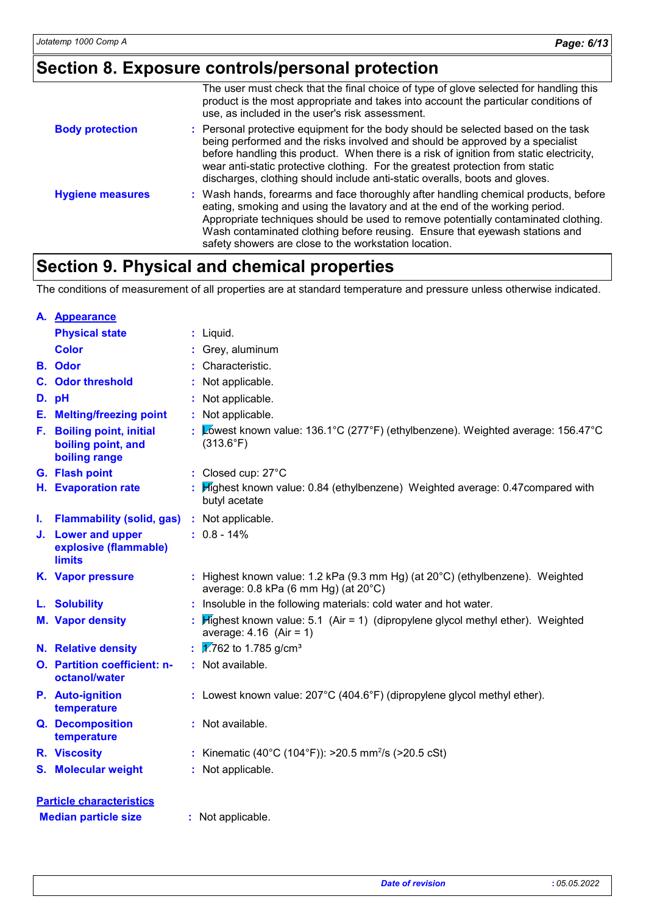### **Section 8. Exposure controls/personal protection**

|                         | The user must check that the final choice of type of glove selected for handling this<br>product is the most appropriate and takes into account the particular conditions of<br>use, as included in the user's risk assessment.                                                                                                                                                                                               |
|-------------------------|-------------------------------------------------------------------------------------------------------------------------------------------------------------------------------------------------------------------------------------------------------------------------------------------------------------------------------------------------------------------------------------------------------------------------------|
| <b>Body protection</b>  | : Personal protective equipment for the body should be selected based on the task<br>being performed and the risks involved and should be approved by a specialist<br>before handling this product. When there is a risk of ignition from static electricity,<br>wear anti-static protective clothing. For the greatest protection from static<br>discharges, clothing should include anti-static overalls, boots and gloves. |
| <b>Hygiene measures</b> | : Wash hands, forearms and face thoroughly after handling chemical products, before<br>eating, smoking and using the lavatory and at the end of the working period.<br>Appropriate techniques should be used to remove potentially contaminated clothing.<br>Wash contaminated clothing before reusing. Ensure that eyewash stations and<br>safety showers are close to the workstation location.                             |

### **Section 9. Physical and chemical properties**

The conditions of measurement of all properties are at standard temperature and pressure unless otherwise indicated.

|    | A. Appearance                                                    |                                                                                                                          |
|----|------------------------------------------------------------------|--------------------------------------------------------------------------------------------------------------------------|
|    | <b>Physical state</b>                                            | : Liquid.                                                                                                                |
|    | <b>Color</b>                                                     | : Grey, aluminum                                                                                                         |
|    | <b>B.</b> Odor                                                   | : Characteristic.                                                                                                        |
|    | <b>C.</b> Odor threshold                                         | : Not applicable.                                                                                                        |
|    | D. pH                                                            | : Not applicable.                                                                                                        |
|    | <b>E.</b> Melting/freezing point                                 | : Not applicable.                                                                                                        |
|    | F. Boiling point, initial<br>boiling point, and<br>boiling range | : Lowest known value: 136.1°C (277°F) (ethylbenzene). Weighted average: 156.47°C<br>$(313.6^{\circ}F)$                   |
|    | G. Flash point                                                   | : Closed cup: 27°C                                                                                                       |
|    | H. Evaporation rate                                              | : Highest known value: 0.84 (ethylbenzene) Weighted average: 0.47compared with<br>butyl acetate                          |
| ı. | <b>Flammability (solid, gas)</b>                                 | : Not applicable.                                                                                                        |
|    | J. Lower and upper<br>explosive (flammable)<br><b>limits</b>     | $: 0.8 - 14\%$                                                                                                           |
|    | K. Vapor pressure                                                | : Highest known value: 1.2 kPa (9.3 mm Hg) (at 20°C) (ethylbenzene). Weighted<br>average: 0.8 kPa (6 mm Hg) (at 20°C)    |
|    | L. Solubility                                                    | : Insoluble in the following materials: cold water and hot water.                                                        |
|    | <b>M. Vapor density</b>                                          | : $\mathbb{H}$ ghest known value: 5.1 (Air = 1) (dipropylene glycol methyl ether). Weighted<br>average: $4.16$ (Air = 1) |
|    | <b>N.</b> Relative density                                       | : $\sqrt{1762}$ to 1.785 g/cm <sup>3</sup>                                                                               |
|    | O. Partition coefficient: n-<br>octanol/water                    | : Not available.                                                                                                         |
|    | P. Auto-ignition<br>temperature                                  | : Lowest known value: 207°C (404.6°F) (dipropylene glycol methyl ether).                                                 |
|    | Q. Decomposition<br>temperature                                  | : Not available.                                                                                                         |
|    | R. Viscosity                                                     | : Kinematic (40°C (104°F)): >20.5 mm <sup>2</sup> /s (>20.5 cSt)                                                         |
|    | <b>S. Molecular weight</b>                                       | : Not applicable.                                                                                                        |
|    | <b>Particle characteristics</b>                                  |                                                                                                                          |
|    | <b>Median particle size</b>                                      | : Not applicable.                                                                                                        |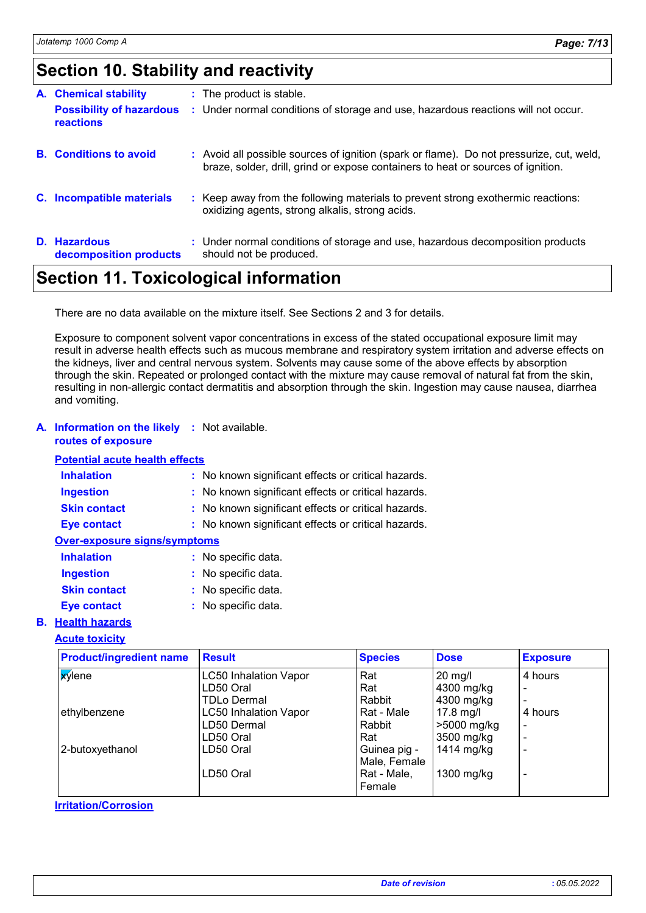### **Section 10. Stability and reactivity**

| <b>A.</b> Chemical stability                 | : The product is stable.                                                                                                                                                     |
|----------------------------------------------|------------------------------------------------------------------------------------------------------------------------------------------------------------------------------|
| <b>Possibility of hazardous</b><br>reactions | : Under normal conditions of storage and use, hazardous reactions will not occur.                                                                                            |
| <b>B.</b> Conditions to avoid                | : Avoid all possible sources of ignition (spark or flame). Do not pressurize, cut, weld,<br>braze, solder, drill, grind or expose containers to heat or sources of ignition. |
| C. Incompatible materials                    | : Keep away from the following materials to prevent strong exothermic reactions:<br>oxidizing agents, strong alkalis, strong acids.                                          |
| D. Hazardous<br>decomposition products       | : Under normal conditions of storage and use, hazardous decomposition products<br>should not be produced.                                                                    |

### **Section 11. Toxicological information**

There are no data available on the mixture itself. See Sections 2 and 3 for details.

Exposure to component solvent vapor concentrations in excess of the stated occupational exposure limit may result in adverse health effects such as mucous membrane and respiratory system irritation and adverse effects on the kidneys, liver and central nervous system. Solvents may cause some of the above effects by absorption through the skin. Repeated or prolonged contact with the mixture may cause removal of natural fat from the skin, resulting in non-allergic contact dermatitis and absorption through the skin. Ingestion may cause nausea, diarrhea and vomiting.

#### **A. Information on the likely :** Not available. **routes of exposure**

#### **Potential acute health effects**

| <b>Inhalation</b>            | : No known significant effects or critical hazards. |
|------------------------------|-----------------------------------------------------|
| <b>Ingestion</b>             | : No known significant effects or critical hazards. |
| <b>Skin contact</b>          | : No known significant effects or critical hazards. |
| <b>Eye contact</b>           | : No known significant effects or critical hazards. |
| Over-exposure signs/symptoms |                                                     |
| <b>Inhalation</b>            | : No specific data.                                 |

| Inhalation          | : No specific data. |
|---------------------|---------------------|
| <b>Ingestion</b>    | : No specific data. |
| <b>Skin contact</b> | : No specific data. |
| <b>Eye contact</b>  | : No specific data. |

#### **B. Health hazards**

#### **Acute toxicity**

| <b>Product/ingredient name</b> | <b>Result</b>                | <b>Species</b> | <b>Dose</b> | <b>Exposure</b>          |
|--------------------------------|------------------------------|----------------|-------------|--------------------------|
| <b>X</b> ylene                 | <b>LC50 Inhalation Vapor</b> | Rat            | $20$ mg/l   | 4 hours                  |
|                                | LD50 Oral                    | Rat            | 4300 mg/kg  | $\,$ $\,$                |
|                                | TDLo Dermal                  | Rabbit         | 4300 mg/kg  | $\overline{\phantom{a}}$ |
| ethylbenzene                   | <b>LC50 Inhalation Vapor</b> | Rat - Male     | $17.8$ mg/l | 4 hours                  |
|                                | LD50 Dermal                  | Rabbit         | >5000 mg/kg | $\overline{\phantom{0}}$ |
|                                | LD50 Oral                    | Rat            | 3500 mg/kg  | $\overline{\phantom{a}}$ |
| 2-butoxyethanol                | LD50 Oral                    | Guinea pig -   | 1414 mg/kg  | $\overline{\phantom{0}}$ |
|                                |                              | Male, Female   |             |                          |
|                                | LD50 Oral                    | Rat - Male,    | 1300 mg/kg  | $\overline{\phantom{0}}$ |
|                                |                              | Female         |             |                          |

#### **Irritation/Corrosion**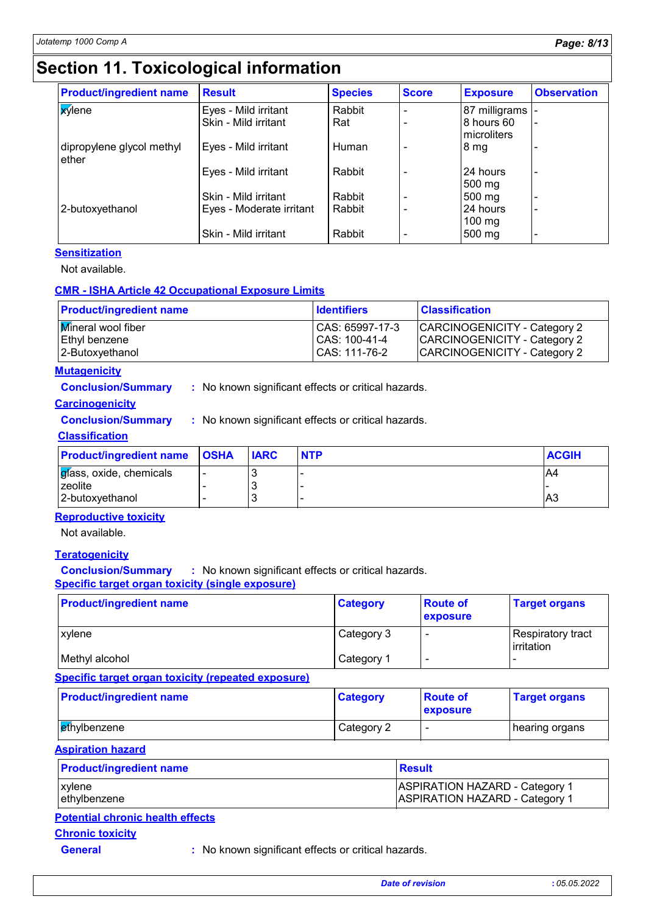### **Section 11. Toxicological information**

| <b>Product/ingredient name</b>     | <b>Result</b>            | <b>Species</b> | <b>Score</b>             | <b>Exposure</b>            | <b>Observation</b> |
|------------------------------------|--------------------------|----------------|--------------------------|----------------------------|--------------------|
| <b>X</b> ylene                     | Eyes - Mild irritant     | Rabbit         |                          | 87 milligrams -            |                    |
|                                    | Skin - Mild irritant     | Rat            |                          | 8 hours 60<br>microliters  |                    |
| dipropylene glycol methyl<br>ether | Eyes - Mild irritant     | Human          | -                        | 8 <sub>mg</sub>            |                    |
|                                    | Eyes - Mild irritant     | Rabbit         |                          | 24 hours<br>500 mg         |                    |
|                                    | Skin - Mild irritant     | Rabbit         |                          | 500 mg                     |                    |
| 2-butoxyethanol                    | Eyes - Moderate irritant | Rabbit         | $\overline{\phantom{0}}$ | 24 hours                   |                    |
|                                    | Skin - Mild irritant     | Rabbit         | $\overline{\phantom{0}}$ | $100 \text{ mg}$<br>500 mg |                    |

#### **Sensitization**

Not available.

#### **CMR - ISHA Article 42 Occupational Exposure Limits**

| <b>Product/ingredient name</b> | <b>Identifiers</b> | <b>Classification</b>        |
|--------------------------------|--------------------|------------------------------|
| <b>Mineral wool fiber</b>      | CAS: 65997-17-3    | CARCINOGENICITY - Category 2 |
| Ethyl benzene                  | CAS: 100-41-4      | CARCINOGENICITY - Category 2 |
| 2-Butoxyethanol                | CAS: 111-76-2      | CARCINOGENICITY - Category 2 |

#### **Mutagenicity**

**Conclusion/Summary :** No known significant effects or critical hazards.

#### **Carcinogenicity**

**Conclusion/Summary :** No known significant effects or critical hazards.

#### **Classification**

| <b>Product/ingredient name OSHA</b> | <b>IARC</b> | <b>NTP</b> | <b>ACGIH</b> |
|-------------------------------------|-------------|------------|--------------|
| gíass, oxide, chemicals             |             |            | A4           |
| zeolite                             |             | -          |              |
| 2-butoxyethanol                     |             | -          | A3           |

#### **Reproductive toxicity**

Not available.

#### **Teratogenicity**

**Conclusion/Summary :** No known significant effects or critical hazards. **Specific target organ toxicity (single exposure)**

| <b>Product/ingredient name</b> | <b>Category</b> | <b>Route of</b><br><b>exposure</b> | <b>Target organs</b>              |
|--------------------------------|-----------------|------------------------------------|-----------------------------------|
| xylene                         | Category 3      | $\overline{\phantom{a}}$           | Respiratory tract<br>l irritation |
| Methyl alcohol                 | Category 1      | $\overline{\phantom{a}}$           |                                   |

**Specific target organ toxicity (repeated exposure)**

| <b>Product/ingredient name</b> | <b>Category</b> | <b>Route of</b><br><b>exposure</b> | <b>Target organs</b> |
|--------------------------------|-----------------|------------------------------------|----------------------|
| ∥ <mark>et</mark> hylbenzene   | Category 2      | -                                  | ∣hearing organs      |

**Aspiration hazard**

| <b>Product/ingredient name</b> | Result                                |  |
|--------------------------------|---------------------------------------|--|
| <b>xylene</b>                  | <b>ASPIRATION HAZARD - Category 1</b> |  |
| ethylbenzene                   | <b>ASPIRATION HAZARD - Category 1</b> |  |

#### **Potential chronic health effects**

**Chronic toxicity**

**General :** No known significant effects or critical hazards.

*Date of revision* **:** *05.05.2022*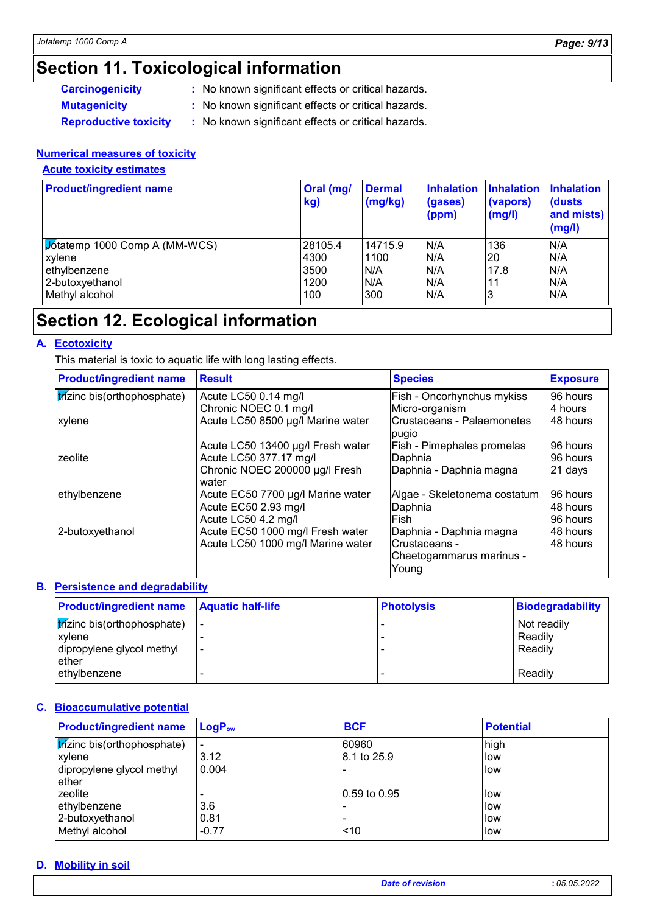## **Section 11. Toxicological information**

- 
- **Carcinogenicity** : No known significant effects or critical hazards.
- 
- **Mutagenicity :** No known significant effects or critical hazards.
- 
- **Reproductive toxicity :** No known significant effects or critical hazards.

#### **Numerical measures of toxicity**

**Acute toxicity estimates**

| <b>Product/ingredient name</b>       | Oral (mg/<br>kg) | <b>Dermal</b><br>(mg/kg) | Inhalation<br>(gases)<br>(ppm) | <b>Inhalation</b><br>(vapors)<br>(mg/l) | <b>Inhalation</b><br>(dusts)<br>and mists)<br>(mg/l) |
|--------------------------------------|------------------|--------------------------|--------------------------------|-----------------------------------------|------------------------------------------------------|
| <b>Jotatemp 1000 Comp A (MM-WCS)</b> | 28105.4          | 14715.9                  | N/A                            | 136                                     | N/A                                                  |
| xylene                               | 4300             | 1100                     | N/A                            | 20                                      | N/A                                                  |
| ethylbenzene                         | 3500             | N/A                      | N/A                            | 17.8                                    | N/A                                                  |
| 2-butoxyethanol                      | 1200             | N/A                      | N/A                            | 11                                      | N/A                                                  |
| Methyl alcohol                       | 100              | 300                      | N/A                            | 3                                       | N/A                                                  |

### **Section 12. Ecological information**

#### **A. Ecotoxicity**

This material is toxic to aquatic life with long lasting effects.

| <b>Product/ingredient name</b> | <b>Result</b>                           | <b>Species</b>                      | <b>Exposure</b> |
|--------------------------------|-----------------------------------------|-------------------------------------|-----------------|
| trízinc bis(orthophosphate)    | Acute LC50 0.14 mg/l                    | Fish - Oncorhynchus mykiss          | 96 hours        |
|                                | Chronic NOEC 0.1 mg/l                   | Micro-organism                      | 4 hours         |
| xylene                         | Acute LC50 8500 µg/l Marine water       | Crustaceans - Palaemonetes<br>pugio | 48 hours        |
|                                | Acute LC50 13400 µg/l Fresh water       | Fish - Pimephales promelas          | 96 hours        |
| zeolite                        | Acute LC50 377.17 mg/l                  | Daphnia                             | 96 hours        |
|                                | Chronic NOEC 200000 µg/l Fresh<br>water | Daphnia - Daphnia magna             | 21 days         |
| ethylbenzene                   | Acute EC50 7700 µg/l Marine water       | Algae - Skeletonema costatum        | 96 hours        |
|                                | Acute EC50 2.93 mg/l                    | Daphnia                             | 48 hours        |
|                                | Acute LC50 4.2 mg/l                     | Fish                                | 96 hours        |
| 2-butoxyethanol                | Acute EC50 1000 mg/l Fresh water        | Daphnia - Daphnia magna             | 48 hours        |
|                                | Acute LC50 1000 mg/l Marine water       | Crustaceans -                       | 48 hours        |
|                                |                                         | Chaetogammarus marinus -            |                 |
|                                |                                         | Young                               |                 |

#### **Persistence and degradability B.**

| <b>Product/ingredient name Aquatic half-life</b> |                          | <b>Photolysis</b> | Biodegradability |
|--------------------------------------------------|--------------------------|-------------------|------------------|
| <b>frizinc bis(orthophosphate)</b>               |                          |                   | Not readily      |
| <b>xvlene</b>                                    |                          |                   | Readily          |
| dipropylene glycol methyl                        | $\overline{\phantom{0}}$ |                   | Readily          |
| ether                                            |                          |                   |                  |
| ethylbenzene                                     |                          |                   | Readily          |

#### **Bioaccumulative potential C.**

| <b>Product/ingredient name</b> | $LoaPow$                 | <b>BCF</b>   | <b>Potential</b> |
|--------------------------------|--------------------------|--------------|------------------|
| trízinc bis(orthophosphate)    | $\overline{\phantom{a}}$ | 60960        | high             |
| xylene                         | 3.12                     | 8.1 to 25.9  | low              |
| dipropylene glycol methyl      | 0.004                    |              | <b>Ilow</b>      |
| ether                          |                          |              |                  |
| zeolite                        |                          | 0.59 to 0.95 | llow             |
| ethylbenzene                   | 3.6                      |              | low              |
| 2-butoxyethanol                | 0.81                     | -            | llow             |
| Methyl alcohol                 | $-0.77$                  | < 10         | llow             |

#### **Mobility in soil D.**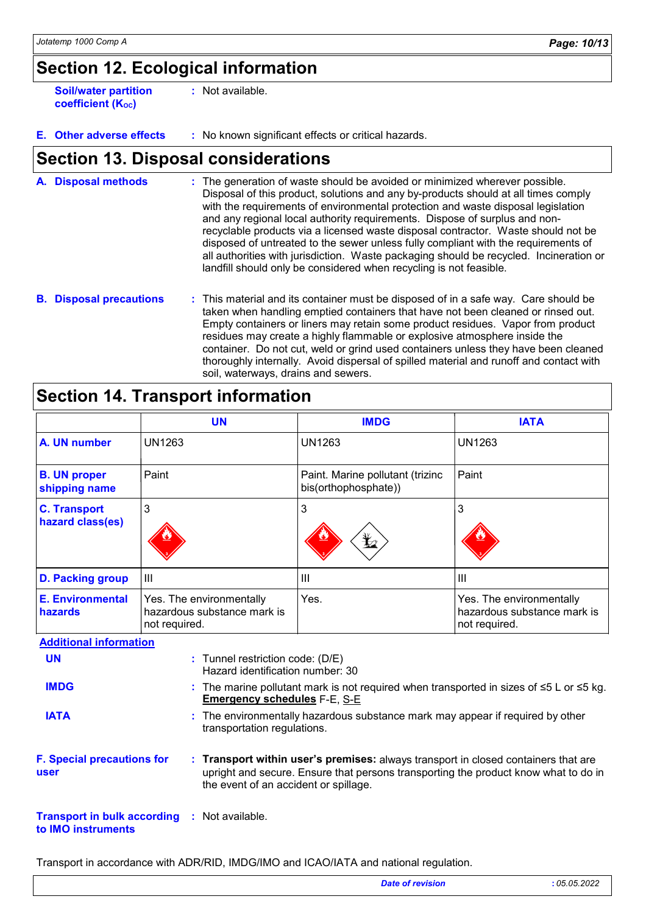### **Section 12. Ecological information**

**Soil/water partition coefficient (KOC)**

**:** Not available.

**E. Other adverse effects :** No known significant effects or critical hazards.

### **Section 13. Disposal considerations**

The generation of waste should be avoided or minimized wherever possible. Disposal of this product, solutions and any by-products should at all times comply with the requirements of environmental protection and waste disposal legislation and any regional local authority requirements. Dispose of surplus and nonrecyclable products via a licensed waste disposal contractor. Waste should not be disposed of untreated to the sewer unless fully compliant with the requirements of all authorities with jurisdiction. Waste packaging should be recycled. Incineration or landfill should only be considered when recycling is not feasible. **A. Disposal methods :**

**B. Disposal precautions :** This material and its container must be disposed of in a safe way. Care should be taken when handling emptied containers that have not been cleaned or rinsed out. Empty containers or liners may retain some product residues. Vapor from product residues may create a highly flammable or explosive atmosphere inside the container. Do not cut, weld or grind used containers unless they have been cleaned thoroughly internally. Avoid dispersal of spilled material and runoff and contact with soil, waterways, drains and sewers.

### **Section 14. Transport information**

|                                                          |                                                                                                                                                                                                                                                         | <b>UN</b>                                                            | <b>IMDG</b>                                                                                         | <b>IATA</b>                                                              |
|----------------------------------------------------------|---------------------------------------------------------------------------------------------------------------------------------------------------------------------------------------------------------------------------------------------------------|----------------------------------------------------------------------|-----------------------------------------------------------------------------------------------------|--------------------------------------------------------------------------|
| A. UN number                                             | <b>UN1263</b>                                                                                                                                                                                                                                           |                                                                      | <b>UN1263</b>                                                                                       | <b>UN1263</b>                                                            |
| <b>B. UN proper</b><br>shipping name                     | Paint                                                                                                                                                                                                                                                   |                                                                      | Paint. Marine pollutant (trizinc<br>bis(orthophosphate))                                            | Paint                                                                    |
| <b>C. Transport</b><br>hazard class(es)                  | 3                                                                                                                                                                                                                                                       |                                                                      | 3                                                                                                   | 3                                                                        |
| <b>D. Packing group</b>                                  | III                                                                                                                                                                                                                                                     |                                                                      | III                                                                                                 | III                                                                      |
| <b>E. Environmental</b><br>hazards                       | Yes. The environmentally<br>hazardous substance mark is<br>not required.                                                                                                                                                                                |                                                                      | Yes.                                                                                                | Yes. The environmentally<br>hazardous substance mark is<br>not required. |
| <b>Additional information</b>                            |                                                                                                                                                                                                                                                         |                                                                      |                                                                                                     |                                                                          |
| <b>UN</b>                                                |                                                                                                                                                                                                                                                         | : Tunnel restriction code: (D/E)<br>Hazard identification number: 30 |                                                                                                     |                                                                          |
| <b>IMDG</b>                                              |                                                                                                                                                                                                                                                         | <b>Emergency schedules F-E, S-E</b>                                  | : The marine pollutant mark is not required when transported in sizes of $\leq$ 5 L or $\leq$ 5 kg. |                                                                          |
| <b>IATA</b>                                              | : The environmentally hazardous substance mark may appear if required by other<br>transportation regulations.                                                                                                                                           |                                                                      |                                                                                                     |                                                                          |
| user                                                     | <b>F. Special precautions for</b><br>: Transport within user's premises: always transport in closed containers that are<br>upright and secure. Ensure that persons transporting the product know what to do in<br>the event of an accident or spillage. |                                                                      |                                                                                                     |                                                                          |
| <b>Transport in bulk according</b><br>to IMO instruments |                                                                                                                                                                                                                                                         | : Not available.                                                     |                                                                                                     |                                                                          |

Transport in accordance with ADR/RID, IMDG/IMO and ICAO/IATA and national regulation.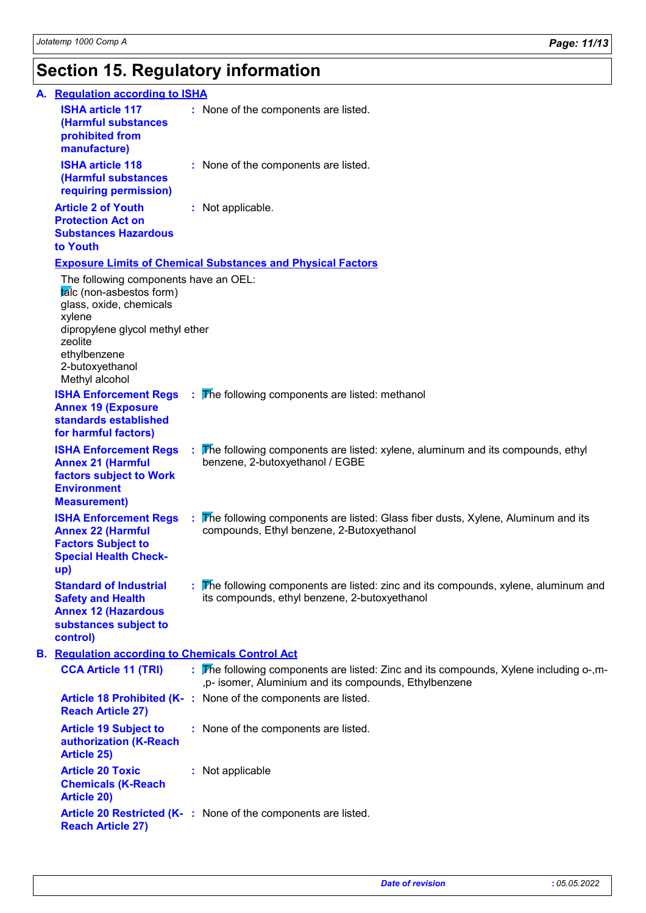### **Section 15. Regulatory information**

| A. Regulation according to ISHA                                                                                                                                                                           |                                                                                                                                                |
|-----------------------------------------------------------------------------------------------------------------------------------------------------------------------------------------------------------|------------------------------------------------------------------------------------------------------------------------------------------------|
| <b>ISHA article 117</b><br>(Harmful substances<br>prohibited from<br>manufacture)                                                                                                                         | : None of the components are listed.                                                                                                           |
| <b>ISHA article 118</b><br>(Harmful substances<br>requiring permission)                                                                                                                                   | : None of the components are listed.                                                                                                           |
| <b>Article 2 of Youth</b><br><b>Protection Act on</b><br><b>Substances Hazardous</b><br>to Youth                                                                                                          | : Not applicable.                                                                                                                              |
|                                                                                                                                                                                                           | <b>Exposure Limits of Chemical Substances and Physical Factors</b>                                                                             |
| The following components have an OEL:<br>talc (non-asbestos form)<br>glass, oxide, chemicals<br>xylene<br>dipropylene glycol methyl ether<br>zeolite<br>ethylbenzene<br>2-butoxyethanol<br>Methyl alcohol |                                                                                                                                                |
| <b>ISHA Enforcement Regs</b><br><b>Annex 19 (Exposure</b><br>standards established<br>for harmful factors)                                                                                                | : The following components are listed: methanol                                                                                                |
| <b>ISHA Enforcement Regs</b><br><b>Annex 21 (Harmful</b><br>factors subject to Work<br><b>Environment</b><br><b>Measurement)</b>                                                                          | The following components are listed: xylene, aluminum and its compounds, ethyl<br>benzene, 2-butoxyethanol / EGBE                              |
| <b>ISHA Enforcement Regs</b><br><b>Annex 22 (Harmful</b><br><b>Factors Subject to</b><br><b>Special Health Check-</b><br>up)                                                                              | The following components are listed: Glass fiber dusts, Xylene, Aluminum and its<br>compounds, Ethyl benzene, 2-Butoxyethanol                  |
| <b>Standard of Industrial</b><br><b>Safety and Health</b><br><b>Annex 12 (Hazardous</b><br>substances subject to<br>control)                                                                              | : The following components are listed: zinc and its compounds, xylene, aluminum and<br>its compounds, ethyl benzene, 2-butoxyethanol           |
| <b>B.</b> Regulation according to Chemicals Control Act                                                                                                                                                   |                                                                                                                                                |
| <b>CCA Article 11 (TRI)</b>                                                                                                                                                                               | : The following components are listed: Zinc and its compounds, Xylene including o-,m-<br>,p- isomer, Aluminium and its compounds, Ethylbenzene |
| <b>Reach Article 27)</b>                                                                                                                                                                                  | Article 18 Prohibited (K-: None of the components are listed.                                                                                  |
| <b>Article 19 Subject to</b><br>authorization (K-Reach<br><b>Article 25)</b>                                                                                                                              | : None of the components are listed.                                                                                                           |
| <b>Article 20 Toxic</b><br><b>Chemicals (K-Reach</b><br><b>Article 20)</b>                                                                                                                                | : Not applicable                                                                                                                               |
| <b>Reach Article 27)</b>                                                                                                                                                                                  | Article 20 Restricted (K-: None of the components are listed.                                                                                  |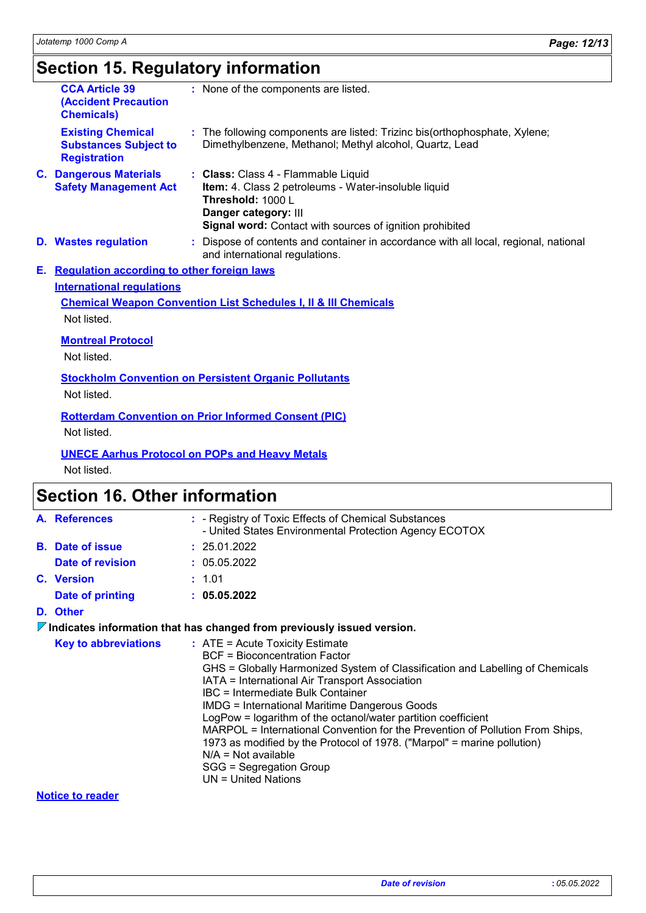# **Section 15. Regulatory information**

|    | <b>CCA Article 39</b><br><b>(Accident Precaution</b><br><b>Chemicals)</b>       | : None of the components are listed.                                                                                                                                                                 |
|----|---------------------------------------------------------------------------------|------------------------------------------------------------------------------------------------------------------------------------------------------------------------------------------------------|
|    | <b>Existing Chemical</b><br><b>Substances Subject to</b><br><b>Registration</b> | : The following components are listed: Trizinc bis(orthophosphate, Xylene;<br>Dimethylbenzene, Methanol; Methyl alcohol, Quartz, Lead                                                                |
|    | <b>C. Dangerous Materials</b><br><b>Safety Management Act</b>                   | : Class: Class 4 - Flammable Liquid<br>Item: 4. Class 2 petroleums - Water-insoluble liquid<br>Threshold: 1000 L<br>Danger category: III<br>Signal word: Contact with sources of ignition prohibited |
|    | <b>D.</b> Wastes regulation                                                     | : Dispose of contents and container in accordance with all local, regional, national<br>and international regulations.                                                                               |
| Е. | <b>Regulation according to other foreign laws</b>                               |                                                                                                                                                                                                      |
|    | <b>International regulations</b>                                                |                                                                                                                                                                                                      |
|    |                                                                                 | <b>Chemical Weapon Convention List Schedules I, II &amp; III Chemicals</b>                                                                                                                           |
|    | Not listed.                                                                     |                                                                                                                                                                                                      |
|    | <b>Montreal Protocol</b>                                                        |                                                                                                                                                                                                      |
|    | Not listed.                                                                     |                                                                                                                                                                                                      |
|    |                                                                                 | <b>Stockholm Convention on Persistent Organic Pollutants</b>                                                                                                                                         |
|    | Not listed.                                                                     |                                                                                                                                                                                                      |
|    |                                                                                 | <b>Rotterdam Convention on Prior Informed Consent (PIC)</b>                                                                                                                                          |
|    | Not listed.                                                                     |                                                                                                                                                                                                      |
|    |                                                                                 | <b>UNECE Aarhus Protocol on POPs and Heavy Metals</b>                                                                                                                                                |
|    | Not listed.                                                                     |                                                                                                                                                                                                      |

## **Section 16. Other information**

| : - Registry of Toxic Effects of Chemical Substances<br>A. References<br>- United States Environmental Protection Agency ECOTOX<br><b>B.</b> Date of issue<br>: 25.01.2022<br>: 05.05.2022<br>Date of revision<br>C. Version<br>: 1.01<br>: 05.05.2022<br>Date of printing<br>D. Other<br>Indicates information that has changed from previously issued version.<br><b>Key to abbreviations</b><br>$:$ ATE = Acute Toxicity Estimate<br><b>BCF</b> = Bioconcentration Factor<br>GHS = Globally Harmonized System of Classification and Labelling of Chemicals<br>IATA = International Air Transport Association<br>IBC = Intermediate Bulk Container<br><b>IMDG = International Maritime Dangerous Goods</b><br>LogPow = logarithm of the octanol/water partition coefficient<br>MARPOL = International Convention for the Prevention of Pollution From Ships,<br>1973 as modified by the Protocol of 1978. ("Marpol" = marine pollution)<br>$N/A = Not available$<br>SGG = Segregation Group |                              |                     |
|-----------------------------------------------------------------------------------------------------------------------------------------------------------------------------------------------------------------------------------------------------------------------------------------------------------------------------------------------------------------------------------------------------------------------------------------------------------------------------------------------------------------------------------------------------------------------------------------------------------------------------------------------------------------------------------------------------------------------------------------------------------------------------------------------------------------------------------------------------------------------------------------------------------------------------------------------------------------------------------------------|------------------------------|---------------------|
|                                                                                                                                                                                                                                                                                                                                                                                                                                                                                                                                                                                                                                                                                                                                                                                                                                                                                                                                                                                               |                              |                     |
|                                                                                                                                                                                                                                                                                                                                                                                                                                                                                                                                                                                                                                                                                                                                                                                                                                                                                                                                                                                               |                              |                     |
|                                                                                                                                                                                                                                                                                                                                                                                                                                                                                                                                                                                                                                                                                                                                                                                                                                                                                                                                                                                               |                              |                     |
|                                                                                                                                                                                                                                                                                                                                                                                                                                                                                                                                                                                                                                                                                                                                                                                                                                                                                                                                                                                               |                              |                     |
|                                                                                                                                                                                                                                                                                                                                                                                                                                                                                                                                                                                                                                                                                                                                                                                                                                                                                                                                                                                               |                              |                     |
|                                                                                                                                                                                                                                                                                                                                                                                                                                                                                                                                                                                                                                                                                                                                                                                                                                                                                                                                                                                               |                              |                     |
|                                                                                                                                                                                                                                                                                                                                                                                                                                                                                                                                                                                                                                                                                                                                                                                                                                                                                                                                                                                               |                              |                     |
|                                                                                                                                                                                                                                                                                                                                                                                                                                                                                                                                                                                                                                                                                                                                                                                                                                                                                                                                                                                               |                              | UN = United Nations |
|                                                                                                                                                                                                                                                                                                                                                                                                                                                                                                                                                                                                                                                                                                                                                                                                                                                                                                                                                                                               | Alla Albana, Alamania albana |                     |

**Notice to reader**